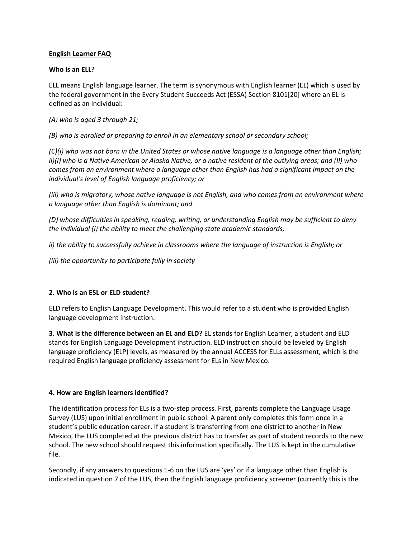## **English Learner FAQ**

## **Who is an ELL?**

ELL means English language learner. The term is synonymous with English learner (EL) which is used by the federal government in the Every Student Succeeds Act (ESSA) Section 8101[20] where an EL is defined as an individual:

*(A) who is aged 3 through 21;*

*(B) who is enrolled or preparing to enroll in an elementary school or secondary school;* 

*(C)(i) who was not born in the United States or whose native language is a language other than English; ii)(I) who is a Native American or Alaska Native, or a native resident of the outlying areas; and (II) who comes from an environment where a language other than English has had a significant impact on the individual's level of English language proficiency; or*

*(iii) who is migratory, whose native language is not English, and who comes from an environment where a language other than English is dominant; and* 

*(D) whose difficulties in speaking, reading, writing, or understanding English may be sufficient to deny the individual (i) the ability to meet the challenging state academic standards;* 

*ii) the ability to successfully achieve in classrooms where the language of instruction is English; or* 

*(iii) the opportunity to participate fully in society*

# **2. Who is an ESL or ELD student?**

ELD refers to English Language Development. This would refer to a student who is provided English language development instruction.

**3. What is the difference between an EL and ELD?** EL stands for English Learner, a student and ELD stands for English Language Development instruction. ELD instruction should be leveled by English language proficiency (ELP) levels, as measured by the annual ACCESS for ELLs assessment, which is the required English language proficiency assessment for ELs in New Mexico.

## **4. How are English learners identified?**

The identification process for ELs is a two-step process. First, parents complete the Language Usage Survey (LUS) upon initial enrollment in public school. A parent only completes this form once in a student's public education career. If a student is transferring from one district to another in New Mexico, the LUS completed at the previous district has to transfer as part of student records to the new school. The new school should request this information specifically. The LUS is kept in the cumulative file.

Secondly, if any answers to questions 1-6 on the LUS are 'yes' or if a language other than English is indicated in question 7 of the LUS, then the English language proficiency screener (currently this is the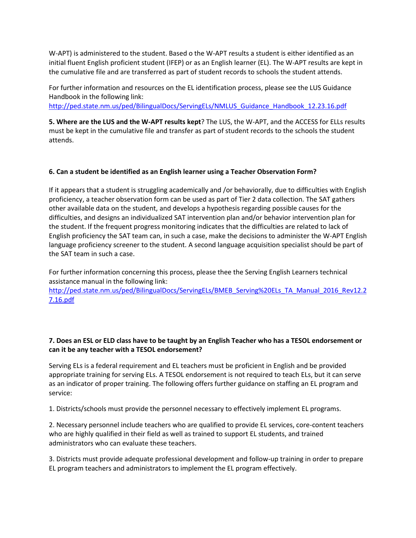W-APT) is administered to the student. Based o the W-APT results a student is either identified as an initial fluent English proficient student (IFEP) or as an English learner (EL). The W-APT results are kept in the cumulative file and are transferred as part of student records to schools the student attends.

For further information and resources on the EL identification process, please see the LUS Guidance Handbook in the following link:

[http://ped.state.nm.us/ped/BilingualDocs/ServingELs/NMLUS\\_Guidance\\_Handbook\\_12.23.16.pdf](http://ped.state.nm.us/ped/BilingualDocs/ServingELs/NMLUS_Guidance_Handbook_12.23.16.pdf)

**5. Where are the LUS and the W-APT results kept**? The LUS, the W-APT, and the ACCESS for ELLs results must be kept in the cumulative file and transfer as part of student records to the schools the student attends.

# **6. Can a student be identified as an English learner using a Teacher Observation Form?**

If it appears that a student is struggling academically and /or behaviorally, due to difficulties with English proficiency, a teacher observation form can be used as part of Tier 2 data collection. The SAT gathers other available data on the student, and develops a hypothesis regarding possible causes for the difficulties, and designs an individualized SAT intervention plan and/or behavior intervention plan for the student. If the frequent progress monitoring indicates that the difficulties are related to lack of English proficiency the SAT team can, in such a case, make the decisions to administer the W-APT English language proficiency screener to the student. A second language acquisition specialist should be part of the SAT team in such a case.

For further information concerning this process, please thee the Serving English Learners technical assistance manual in the following link:

[http://ped.state.nm.us/ped/BilingualDocs/ServingELs/BMEB\\_Serving%20ELs\\_TA\\_Manual\\_2016\\_Rev12.2](http://ped.state.nm.us/ped/BilingualDocs/ServingELs/BMEB_Serving%20ELs_TA_Manual_2016_Rev12.27.16.pdf) [7.16.pdf](http://ped.state.nm.us/ped/BilingualDocs/ServingELs/BMEB_Serving%20ELs_TA_Manual_2016_Rev12.27.16.pdf)

## **7. Does an ESL or ELD class have to be taught by an English Teacher who has a TESOL endorsement or can it be any teacher with a TESOL endorsement?**

Serving ELs is a federal requirement and EL teachers must be proficient in English and be provided appropriate training for serving ELs. A TESOL endorsement is not required to teach ELs, but it can serve as an indicator of proper training. The following offers further guidance on staffing an EL program and service:

1. Districts/schools must provide the personnel necessary to effectively implement EL programs.

2. Necessary personnel include teachers who are qualified to provide EL services, core-content teachers who are highly qualified in their field as well as trained to support EL students, and trained administrators who can evaluate these teachers.

3. Districts must provide adequate professional development and follow-up training in order to prepare EL program teachers and administrators to implement the EL program effectively.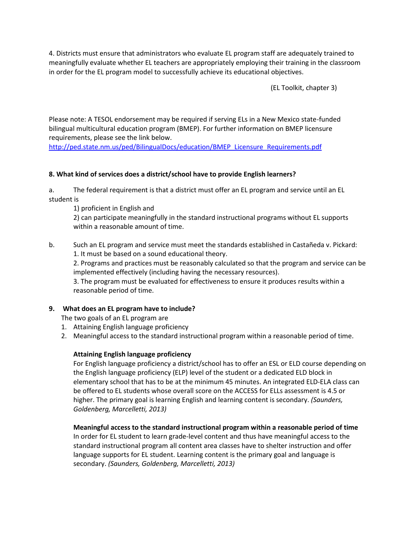4. Districts must ensure that administrators who evaluate EL program staff are adequately trained to meaningfully evaluate whether EL teachers are appropriately employing their training in the classroom in order for the EL program model to successfully achieve its educational objectives.

(EL Toolkit, chapter 3)

Please note: A TESOL endorsement may be required if serving ELs in a New Mexico state-funded bilingual multicultural education program (BMEP). For further information on BMEP licensure requirements, please see the link below.

[http://ped.state.nm.us/ped/BilingualDocs/education/BMEP\\_Licensure\\_Requirements.pdf](http://ped.state.nm.us/ped/BilingualDocs/education/BMEP_Licensure_Requirements.pdf)

## **8. What kind of services does a district/school have to provide English learners?**

a. The federal requirement is that a district must offer an EL program and service until an EL student is

1) proficient in English and

2) can participate meaningfully in the standard instructional programs without EL supports within a reasonable amount of time.

b. Such an EL program and service must meet the standards established in Castañeda v. Pickard: 1. It must be based on a sound educational theory.

2. Programs and practices must be reasonably calculated so that the program and service can be implemented effectively (including having the necessary resources).

3. The program must be evaluated for effectiveness to ensure it produces results within a reasonable period of time.

## **9. What does an EL program have to include?**

The two goals of an EL program are

- 1. Attaining English language proficiency
- 2. Meaningful access to the standard instructional program within a reasonable period of time.

## **Attaining English language proficiency**

For English language proficiency a district/school has to offer an ESL or ELD course depending on the English language proficiency (ELP) level of the student or a dedicated ELD block in elementary school that has to be at the minimum 45 minutes. An integrated ELD-ELA class can be offered to EL students whose overall score on the ACCESS for ELLs assessment is 4.5 or higher. The primary goal is learning English and learning content is secondary. *(Saunders, Goldenberg, Marcelletti, 2013)*

**Meaningful access to the standard instructional program within a reasonable period of time**

In order for EL student to learn grade-level content and thus have meaningful access to the standard instructional program all content area classes have to shelter instruction and offer language supports for EL student. Learning content is the primary goal and language is secondary. *(Saunders, Goldenberg, Marcelletti, 2013)*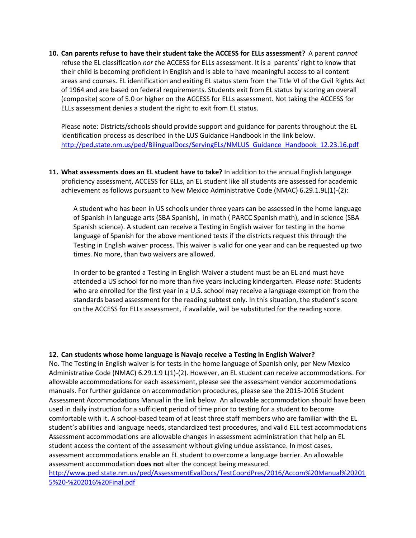**10. Can parents refuse to have their student take the ACCESS for ELLs assessment?** A parent *cannot* refuse the EL classification *nor t*he ACCESS for ELLs assessment. It is a parents' right to know that their child is becoming proficient in English and is able to have meaningful access to all content areas and courses. EL identification and exiting EL status stem from the Title VI of the Civil Rights Act of 1964 and are based on federal requirements. Students exit from EL status by scoring an overall (composite) score of 5.0 or higher on the ACCESS for ELLs assessment. Not taking the ACCESS for ELLs assessment denies a student the right to exit from EL status.

Please note: Districts/schools should provide support and guidance for parents throughout the EL identification process as described in the LUS Guidance Handbook in the link below. [http://ped.state.nm.us/ped/BilingualDocs/ServingELs/NMLUS\\_Guidance\\_Handbook\\_12.23.16.pdf](http://ped.state.nm.us/ped/BilingualDocs/ServingELs/NMLUS_Guidance_Handbook_12.23.16.pdf)

**11. What assessments does an EL student have to take?** In addition to the annual English language proficiency assessment, ACCESS for ELLs, an EL student like all students are assessed for academic achievement as follows pursuant to New Mexico Administrative Code (NMAC) 6.29.1.9L(1)-(2):

A student who has been in US schools under three years can be assessed in the home language of Spanish in language arts (SBA Spanish), in math ( PARCC Spanish math), and in science (SBA Spanish science). A student can receive a Testing in English waiver for testing in the home language of Spanish for the above mentioned tests if the districts request this through the Testing in English waiver process. This waiver is valid for one year and can be requested up two times. No more, than two waivers are allowed.

In order to be granted a Testing in English Waiver a student must be an EL and must have attended a US school for no more than five years including kindergarten. *Please note:* Students who are enrolled for the first year in a U.S. school may receive a language exemption from the standards based assessment for the reading subtest only. In this situation, the student's score on the ACCESS for ELLs assessment, if available, will be substituted for the reading score.

#### **12. Can students whose home language is Navajo receive a Testing in English Waiver?**

No. The Testing in English waiver is for tests in the home language of Spanish only, per New Mexico Administrative Code (NMAC) 6.29.1.9 L(1)-(2). However, an EL student can receive accommodations. For allowable accommodations for each assessment, please see the assessment vendor accommodations manuals. For further guidance on accommodation procedures, please see the 2015-2016 Student Assessment Accommodations Manual in the link below. An allowable accommodation should have been used in daily instruction for a sufficient period of time prior to testing for a student to become comfortable with it**.** A school-based team of at least three staff members who are familiar with the EL student's abilities and language needs, standardized test procedures, and valid ELL test accommodations Assessment accommodations are allowable changes in assessment administration that help an EL student access the content of the assessment without giving undue assistance. In most cases, assessment accommodations enable an EL student to overcome a language barrier. An allowable assessment accommodation **does not** alter the concept being measured.

[http://www.ped.state.nm.us/ped/AssessmentEvalDocs/TestCoordPres/2016/Accom%20Manual%20201](http://www.ped.state.nm.us/ped/AssessmentEvalDocs/TestCoordPres/2016/Accom%20Manual%202015%20-%202016%20Final.pdf) [5%20-%202016%20Final.pdf](http://www.ped.state.nm.us/ped/AssessmentEvalDocs/TestCoordPres/2016/Accom%20Manual%202015%20-%202016%20Final.pdf)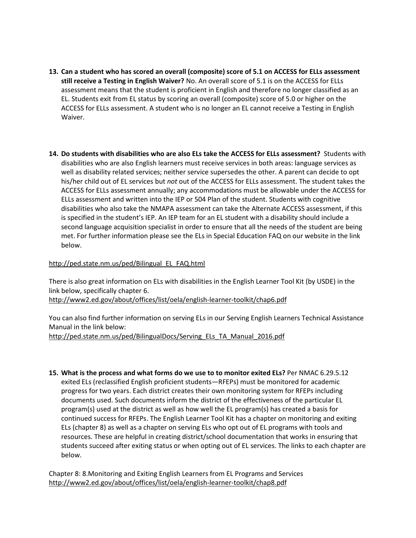- **13. Can a student who has scored an overall (composite) score of 5.1 on ACCESS for ELLs assessment still receive a Testing in English Waiver?** No. An overall score of 5.1 is on the ACCESS for ELLs assessment means that the student is proficient in English and therefore no longer classified as an EL. Students exit from EL status by scoring an overall (composite) score of 5.0 or higher on the ACCESS for ELLs assessment. A student who is no longer an EL cannot receive a Testing in English Waiver.
- **14. Do students with disabilities who are also ELs take the ACCESS for ELLs assessment?** Students with disabilities who are also English learners must receive services in both areas: language services as well as disability related services; neither service supersedes the other. A parent can decide to opt his/her child out of EL services but *not* out of the ACCESS for ELLs assessment. The student takes the ACCESS for ELLs assessment annually; any accommodations must be allowable under the ACCESS for ELLs assessment and written into the IEP or 504 Plan of the student. Students with cognitive disabilities who also take the NMAPA assessment can take the Alternate ACCESS assessment, if this is specified in the student's IEP. An IEP team for an EL student with a disability should include a second language acquisition specialist in order to ensure that all the needs of the student are being met. For further information please see the ELs in Special Education FAQ on our website in the link below.

## [http://ped.state.nm.us/ped/Bilingual\\_EL\\_FAQ.html](http://ped.state.nm.us/ped/Bilingual_EL_FAQ.html)

There is also great information on ELs with disabilities in the English Learner Tool Kit (by USDE) in the link below, specifically chapter 6. <http://www2.ed.gov/about/offices/list/oela/english-learner-toolkit/chap6.pdf>

You can also find further information on serving ELs in our Serving English Learners Technical Assistance Manual in the link below: [http://ped.state.nm.us/ped/BilingualDocs/Serving\\_ELs\\_TA\\_Manual\\_2016.pdf](http://ped.state.nm.us/ped/BilingualDocs/Serving_ELs_TA_Manual_2016.pdf)

**15. What is the process and what forms do we use to to monitor exited ELs?** Per NMAC 6.29.5.12 exited ELs (reclassified English proficient students—RFEPs) must be monitored for academic progress for two years. Each district creates their own monitoring system for RFEPs including documents used. Such documents inform the district of the effectiveness of the particular EL program(s) used at the district as well as how well the EL program(s) has created a basis for continued success for RFEPs. The English Learner Tool Kit has a chapter on monitoring and exiting ELs (chapter 8) as well as a chapter on serving ELs who opt out of EL programs with tools and resources. These are helpful in creating district/school documentation that works in ensuring that students succeed after exiting status or when opting out of EL services. The links to each chapter are below.

Chapter 8: 8.Monitoring and Exiting English Learners from EL Programs and Services <http://www2.ed.gov/about/offices/list/oela/english-learner-toolkit/chap8.pdf>